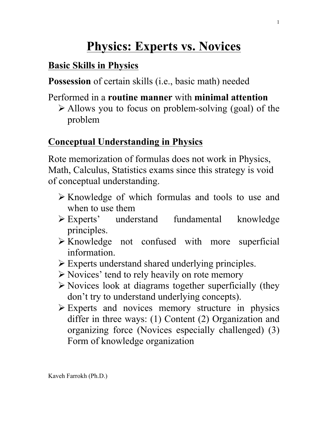# **Physics: Experts vs. Novices**

#### **Basic Skills in Physics**

**Possession** of certain skills (i.e., basic math) needed

## Performed in a **routine manner** with **minimal attention**

 $\triangleright$  Allows you to focus on problem-solving (goal) of the problem

#### **Conceptual Understanding in Physics**

Rote memorization of formulas does not work in Physics, Math, Calculus, Statistics exams since this strategy is void of conceptual understanding.

- Ø Knowledge of which formulas and tools to use and when to use them
- Ø Experts' understand fundamental knowledge principles.
- $\triangleright$  Knowledge not confused with more superficial information.
- $\triangleright$  Experts understand shared underlying principles.
- $\triangleright$  Novices' tend to rely heavily on rote memory
- $\triangleright$  Novices look at diagrams together superficially (they don't try to understand underlying concepts).
- $\triangleright$  Experts and novices memory structure in physics differ in three ways: (1) Content (2) Organization and organizing force (Novices especially challenged) (3) Form of knowledge organization